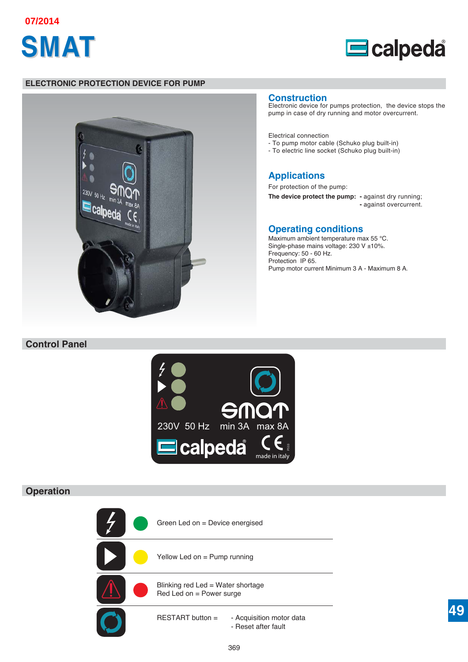





#### **ELECTRONIC PROTECTION DEVICE FOR PUMP**



#### **Construction**

Electronic device for pumps protection, the device stops the pump in case of dry running and motor overcurrent.

Electrical connection

- To pump motor cable (Schuko plug built-in)
- To electric line socket (Schuko plug built-in)

# **Applications**

For protection of the pump:

**The device protect the pump: -** against dry running; **-** against overcurrent.

## **Operating conditions**

Maximum ambient temperature max 55 °C. Single-phase mains voltage: 230 V ±10%. Frequency: 50 - 60 Hz. Protection IP 65. Pump motor current Minimum 3 A - Maximum 8 A.

# **Control Panel**



# **Operation**

Green Led on = Device energised Yellow Led on = Pump running Blinking red Led = Water shortage Red Led on = Power surge RESTART button = - Acquisition motor data - Reset after fault